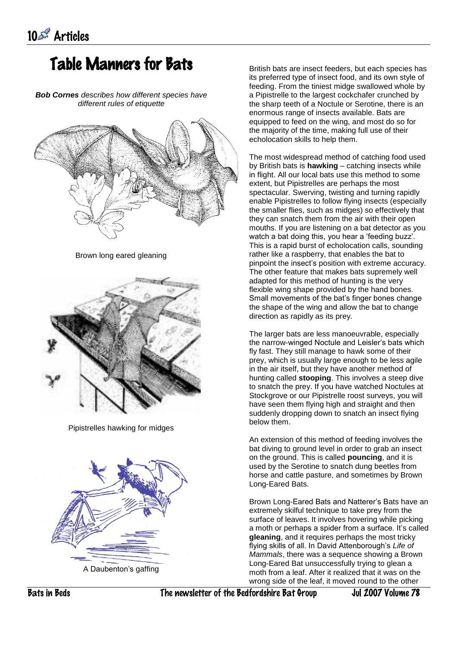## Table Manners for Bats

*Bob Cornes describes how different species have different rules of etiquette*



Brown long eared gleaning



Pipistrelles hawking for midges



A Daubenton's gaffing

British bats are insect feeders, but each species has its preferred type of insect food, and its own style of feeding. From the tiniest midge swallowed whole by a Pipistrelle to the largest cockchafer crunched by the sharp teeth of a Noctule or Serotine, there is an enormous range of insects available. Bats are equipped to feed on the wing, and most do so for the majority of the time, making full use of their echolocation skills to help them.

The most widespread method of catching food used by British bats is **hawking** – catching insects while in flight. All our local bats use this method to some extent, but Pipistrelles are perhaps the most spectacular. Swerving, twisting and turning rapidly enable Pipistrelles to follow flying insects (especially the smaller flies, such as midges) so effectively that they can snatch them from the air with their open mouths. If you are listening on a bat detector as you watch a bat doing this, you hear a 'feeding buzz'. This is a rapid burst of echolocation calls, sounding rather like a raspberry, that enables the bat to pinpoint the insect's position with extreme accuracy. The other feature that makes bats supremely well adapted for this method of hunting is the very flexible wing shape provided by the hand bones. Small movements of the bat's finger bones change the shape of the wing and allow the bat to change direction as rapidly as its prey.

The larger bats are less manoeuvrable, especially the narrow-winged Noctule and Leisler's bats which fly fast. They still manage to hawk some of their prey, which is usually large enough to be less agile in the air itself, but they have another method of hunting called **stooping**. This involves a steep dive to snatch the prey. If you have watched Noctules at Stockgrove or our Pipistrelle roost surveys, you will have seen them flying high and straight and then suddenly dropping down to snatch an insect flying below them.

An extension of this method of feeding involves the bat diving to ground level in order to grab an insect on the ground. This is called **pouncing**, and it is used by the Serotine to snatch dung beetles from horse and cattle pasture, and sometimes by Brown Long-Eared Bats.

Brown Long-Eared Bats and Natterer's Bats have an extremely skilful technique to take prey from the surface of leaves. It involves hovering while picking a moth or perhaps a spider from a surface. It's called **gleaning**, and it requires perhaps the most tricky flying skills of all. In David Attenborough's *Life of Mammals*, there was a sequence showing a Brown Long-Eared Bat unsuccessfully trying to glean a moth from a leaf. After it realized that it was on the wrong side of the leaf, it moved round to the other